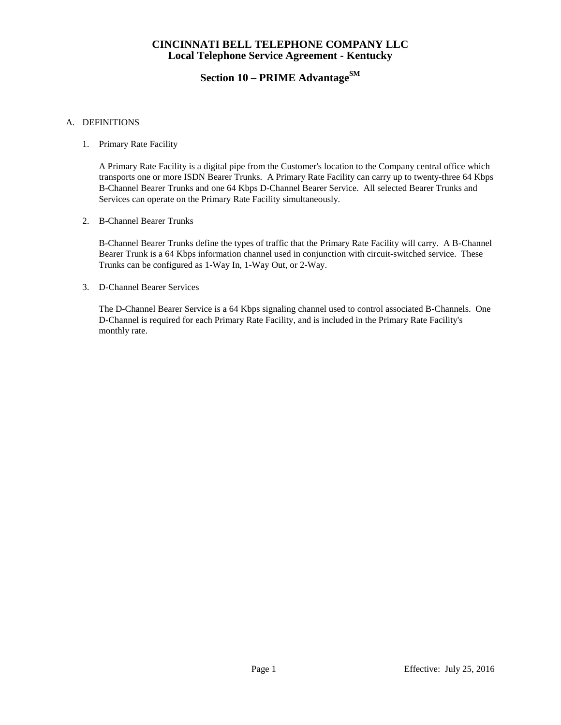# **Section 10 – PRIME Advantage**SM

### A. DEFINITIONS

1. Primary Rate Facility

A Primary Rate Facility is a digital pipe from the Customer's location to the Company central office which transports one or more ISDN Bearer Trunks. A Primary Rate Facility can carry up to twenty-three 64 Kbps B-Channel Bearer Trunks and one 64 Kbps D-Channel Bearer Service. All selected Bearer Trunks and Services can operate on the Primary Rate Facility simultaneously.

2. B-Channel Bearer Trunks

B-Channel Bearer Trunks define the types of traffic that the Primary Rate Facility will carry. A B-Channel Bearer Trunk is a 64 Kbps information channel used in conjunction with circuit-switched service. These Trunks can be configured as 1-Way In, 1-Way Out, or 2-Way.

3. D-Channel Bearer Services

The D-Channel Bearer Service is a 64 Kbps signaling channel used to control associated B-Channels. One D-Channel is required for each Primary Rate Facility, and is included in the Primary Rate Facility's monthly rate.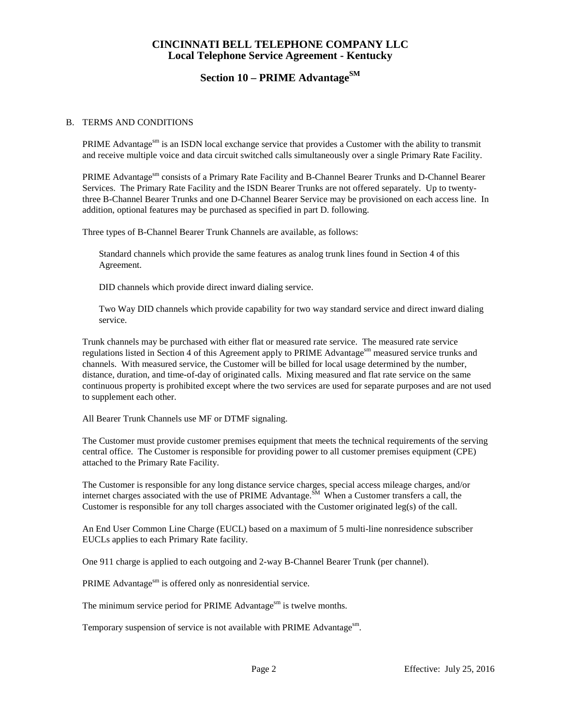# **Section 10 – PRIME Advantage**SM

#### B. TERMS AND CONDITIONS

PRIME Advantage<sup>sm</sup> is an ISDN local exchange service that provides a Customer with the ability to transmit and receive multiple voice and data circuit switched calls simultaneously over a single Primary Rate Facility.

PRIME Advantage<sup>sm</sup> consists of a Primary Rate Facility and B-Channel Bearer Trunks and D-Channel Bearer Services. The Primary Rate Facility and the ISDN Bearer Trunks are not offered separately. Up to twentythree B-Channel Bearer Trunks and one D-Channel Bearer Service may be provisioned on each access line. In addition, optional features may be purchased as specified in part D. following.

Three types of B-Channel Bearer Trunk Channels are available, as follows:

Standard channels which provide the same features as analog trunk lines found in Section 4 of this Agreement.

DID channels which provide direct inward dialing service.

Two Way DID channels which provide capability for two way standard service and direct inward dialing service.

Trunk channels may be purchased with either flat or measured rate service. The measured rate service regulations listed in Section 4 of this Agreement apply to PRIME Advantage<sup>sm</sup> measured service trunks and channels. With measured service, the Customer will be billed for local usage determined by the number, distance, duration, and time-of-day of originated calls. Mixing measured and flat rate service on the same continuous property is prohibited except where the two services are used for separate purposes and are not used to supplement each other.

All Bearer Trunk Channels use MF or DTMF signaling.

The Customer must provide customer premises equipment that meets the technical requirements of the serving central office. The Customer is responsible for providing power to all customer premises equipment (CPE) attached to the Primary Rate Facility.

The Customer is responsible for any long distance service charges, special access mileage charges, and/or internet charges associated with the use of PRIME Advantage.  $\tilde{S}^M$  When a Customer transfers a call, the Customer is responsible for any toll charges associated with the Customer originated leg(s) of the call.

An End User Common Line Charge (EUCL) based on a maximum of 5 multi-line nonresidence subscriber EUCLs applies to each Primary Rate facility.

One 911 charge is applied to each outgoing and 2-way B-Channel Bearer Trunk (per channel).

PRIME Advantage<sup>sm</sup> is offered only as nonresidential service.

The minimum service period for PRIME Advantage<sup>sm</sup> is twelve months.

Temporary suspension of service is not available with PRIME Advantage<sup>sm</sup>.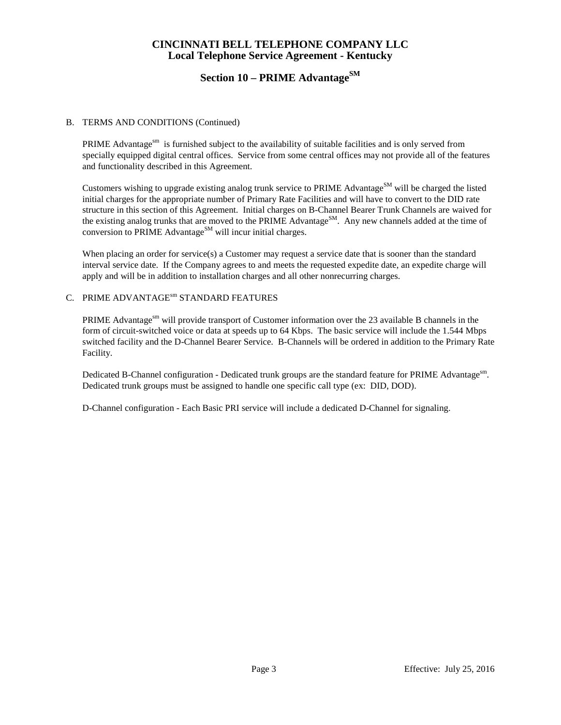# **Section 10 – PRIME Advantage**SM

#### B. TERMS AND CONDITIONS (Continued)

PRIME Advantages is furnished subject to the availability of suitable facilities and is only served from specially equipped digital central offices. Service from some central offices may not provide all of the features and functionality described in this Agreement.

Customers wishing to upgrade existing analog trunk service to PRIME Advantage<sup>SM</sup> will be charged the listed initial charges for the appropriate number of Primary Rate Facilities and will have to convert to the DID rate structure in this section of this Agreement. Initial charges on B-Channel Bearer Trunk Channels are waived for the existing analog trunks that are moved to the PRIME Advantage<sup>SM</sup>. Any new channels added at the time of conversion to PRIME Advantage<sup>SM</sup> will incur initial charges.

When placing an order for service(s) a Customer may request a service date that is sooner than the standard interval service date. If the Company agrees to and meets the requested expedite date, an expedite charge will apply and will be in addition to installation charges and all other nonrecurring charges.

### C. PRIME ADVANTAGE<sup>sm</sup> STANDARD FEATURES

PRIME Advantage<sup>sm</sup> will provide transport of Customer information over the 23 available B channels in the form of circuit-switched voice or data at speeds up to 64 Kbps. The basic service will include the 1.544 Mbps switched facility and the D-Channel Bearer Service. B-Channels will be ordered in addition to the Primary Rate Facility.

Dedicated B-Channel configuration - Dedicated trunk groups are the standard feature for PRIME Advantage<sup>sm</sup>. Dedicated trunk groups must be assigned to handle one specific call type (ex: DID, DOD).

D-Channel configuration - Each Basic PRI service will include a dedicated D-Channel for signaling.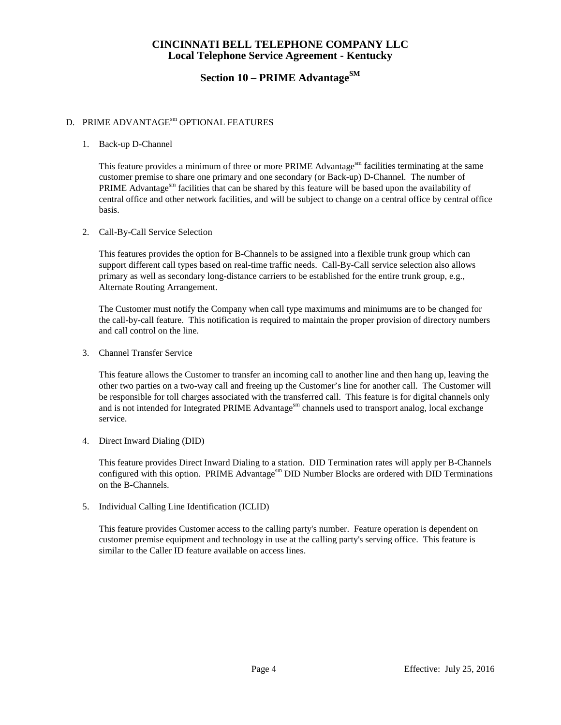# **Section 10 – PRIME Advantage**SM

#### D. PRIME ADVANTAGE<sup>sm</sup> OPTIONAL FEATURES

#### 1. Back-up D-Channel

This feature provides a minimum of three or more PRIME Advantage<sup>sm</sup> facilities terminating at the same customer premise to share one primary and one secondary (or Back-up) D-Channel. The number of PRIME Advantage<sup>sm</sup> facilities that can be shared by this feature will be based upon the availability of central office and other network facilities, and will be subject to change on a central office by central office basis.

#### 2. Call-By-Call Service Selection

This features provides the option for B-Channels to be assigned into a flexible trunk group which can support different call types based on real-time traffic needs. Call-By-Call service selection also allows primary as well as secondary long-distance carriers to be established for the entire trunk group, e.g., Alternate Routing Arrangement.

The Customer must notify the Company when call type maximums and minimums are to be changed for the call-by-call feature. This notification is required to maintain the proper provision of directory numbers and call control on the line.

3. Channel Transfer Service

This feature allows the Customer to transfer an incoming call to another line and then hang up, leaving the other two parties on a two-way call and freeing up the Customer's line for another call. The Customer will be responsible for toll charges associated with the transferred call. This feature is for digital channels only and is not intended for Integrated PRIME Advantage<sup>sm</sup> channels used to transport analog, local exchange service.

4. Direct Inward Dialing (DID)

This feature provides Direct Inward Dialing to a station. DID Termination rates will apply per B-Channels configured with this option. PRIME Advantage<sup>sm</sup> DID Number Blocks are ordered with DID Terminations on the B-Channels.

5. Individual Calling Line Identification (ICLID)

This feature provides Customer access to the calling party's number. Feature operation is dependent on customer premise equipment and technology in use at the calling party's serving office. This feature is similar to the Caller ID feature available on access lines.